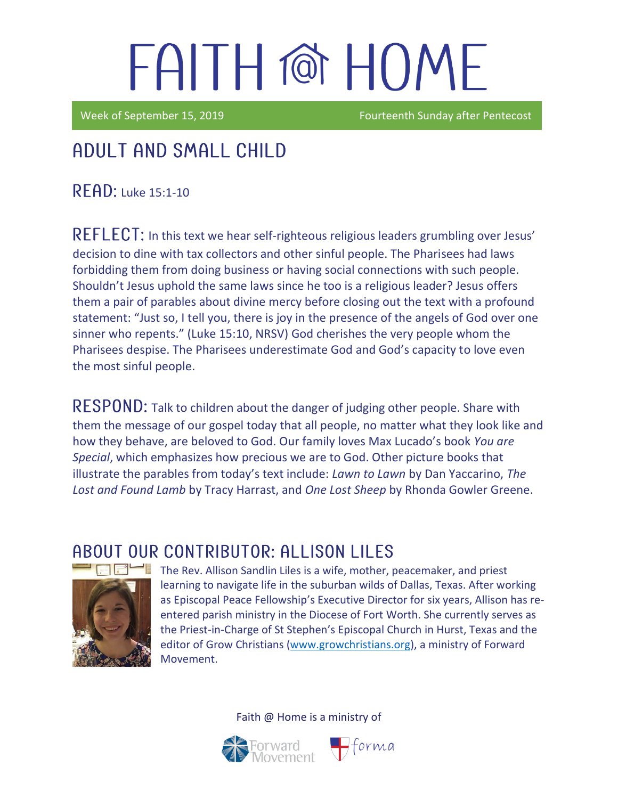Week of September 15, 2019 **Fourteenth Sunday after Pentecost** 

## Adult and Small Child

READ: Luke 15:1-10

REFLECT: In this text we hear self-righteous religious leaders grumbling over Jesus' decision to dine with tax collectors and other sinful people. The Pharisees had laws forbidding them from doing business or having social connections with such people. Shouldn't Jesus uphold the same laws since he too is a religious leader? Jesus offers them a pair of parables about divine mercy before closing out the text with a profound statement: "Just so, I tell you, there is joy in the presence of the angels of God over one sinner who repents." (Luke 15:10, NRSV) God cherishes the very people whom the Pharisees despise. The Pharisees underestimate God and God's capacity to love even the most sinful people.

RESPOND: Talk to children about the danger of judging other people. Share with them the message of our gospel today that all people, no matter what they look like and how they behave, are beloved to God. Our family loves Max Lucado's book *You are Special*, which emphasizes how precious we are to God. Other picture books that illustrate the parables from today's text include: *Lawn to Lawn* by Dan Yaccarino, *The Lost and Found Lamb* by Tracy Harrast, and *One Lost Sheep* by Rhonda Gowler Greene.

### ABOUT OUR CONTRIBUTOR: ALLISON LILES



The Rev. Allison Sandlin Liles is a wife, mother, peacemaker, and priest learning to navigate life in the suburban wilds of Dallas, Texas. After working as [Episcopal Peace Fellowship](http://epfnational.org/)'s Executive Director for six years, Allison has reentered parish ministry in the Diocese of Fort Worth. She currently serves as the Priest-in-Charge of [St Stephen's Episcopal Church](http://ssechurst.org/) in Hurst, Texas and the editor of [Grow Christians](http://growchristians.org/) [\(www.growchristians.org\)](http://www.growchristians.org/), a ministry of Forward Movement.

 $H$ forma

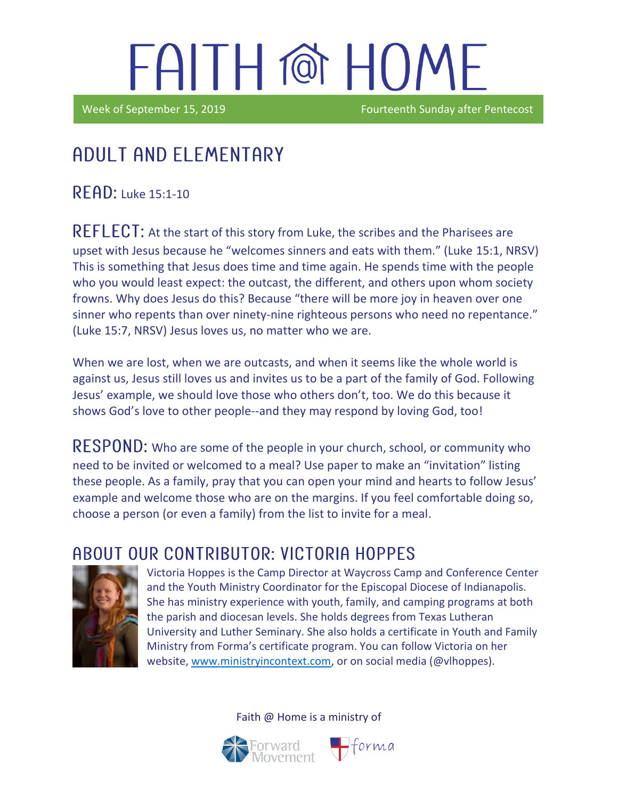Week of September 15, 2019 **Fourteenth** Sunday after Pentecost

### Adult and elementary

 $READ:$  Luke 15:1-10

i

REFLECT: At the start of this story from Luke, the scribes and the Pharisees are upset with Jesus because he "welcomes sinners and eats with them." (Luke 15:1, NRSV) This is something that Jesus does time and time again. He spends time with the people who you would least expect: the outcast, the different, and others upon whom society frowns. Why does Jesus do this? Because "there will be more joy in heaven over one sinner who repents than over ninety-nine righteous persons who need no repentance." (Luke 15:7, NRSV) Jesus loves us, no matter who we are.

When we are lost, when we are outcasts, and when it seems like the whole world is against us, Jesus still loves us and invites us to be a part of the family of God. Following Jesus' example, we should love those who others don't, too. We do this because it shows God's love to other people--and they may respond by loving God, too!

RESPOND: Who are some of the people in your church, school, or community who need to be invited or welcomed to a meal? Use paper to make an "invitation" listing these people. As a family, pray that you can open your mind and hearts to follow Jesus' example and welcome those who are on the margins. If you feel comfortable doing so, choose a person (or even a family) from the list to invite for a meal.

### ABOUT OUR CONTRIBUTOR: VICTORIA HOPPES



Victoria Hoppes is the Camp Director at Waycross Camp and Conference Center and the Youth Ministry Coordinator for the Episcopal Diocese of Indianapolis. She has ministry experience with youth, family, and camping programs at both the parish and diocesan levels. She holds degrees from Texas Lutheran University and Luther Seminary. She also holds a certificate in Youth and Family Ministry from Forma's certificate program. You can follow Victoria on her website, [www.ministryincontext.com,](http://www.ministryincontext.com/) or on social media (@vlhoppes).

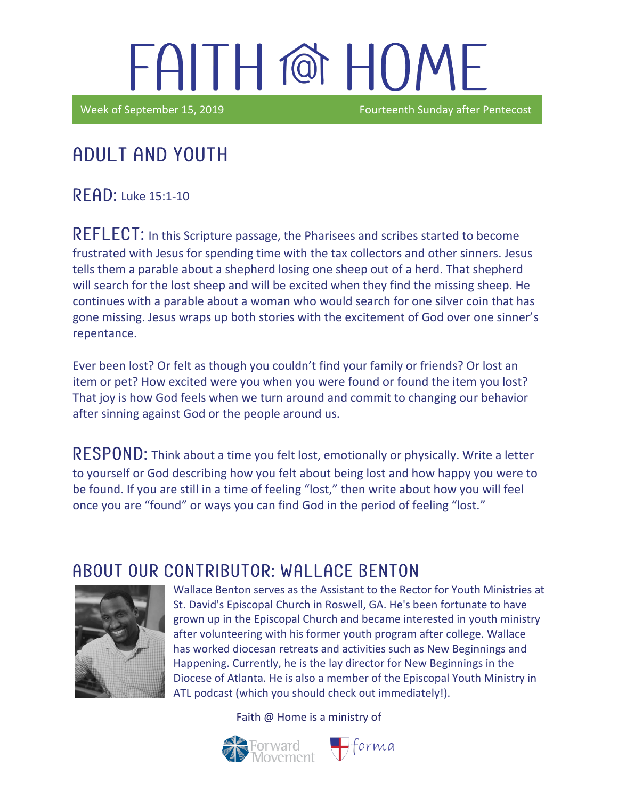Week of September 15, 2019 **Fourteenth Sunday after Pentecost** 

## Adult and youth

 $R$  $F$  $R$  $D$ : Luke 15:1-10

in the contract of the contract of the contract of the contract of the contract of the contract of the contract of the contract of the contract of the contract of the contract of the contract of the contract of the contrac

REFLECT: In this Scripture passage, the Pharisees and scribes started to become frustrated with Jesus for spending time with the tax collectors and other sinners. Jesus tells them a parable about a shepherd losing one sheep out of a herd. That shepherd will search for the lost sheep and will be excited when they find the missing sheep. He continues with a parable about a woman who would search for one silver coin that has gone missing. Jesus wraps up both stories with the excitement of God over one sinner's repentance.

Ever been lost? Or felt as though you couldn't find your family or friends? Or lost an item or pet? How excited were you when you were found or found the item you lost? That joy is how God feels when we turn around and commit to changing our behavior after sinning against God or the people around us.

RESPOND: Think about a time you felt lost, emotionally or physically. Write a letter to yourself or God describing how you felt about being lost and how happy you were to be found. If you are still in a time of feeling "lost," then write about how you will feel once you are "found" or ways you can find God in the period of feeling "lost."

#### A BOUT OUR CONTRIBUTOR: WALLACE BENTON



Wallace Benton serves as the Assistant to the Rector for Youth Ministries at St. David's Episcopal Church in Roswell, GA. He's been fortunate to have grown up in the Episcopal Church and became interested in youth ministry after volunteering with his former youth program after college. Wallace has worked diocesan retreats and activities such as New Beginnings and Happening. Currently, he is the lay director for New Beginnings in the Diocese of Atlanta. He is also a member of the Episcopal Youth Ministry in ATL podcast (which you should check out immediately!).